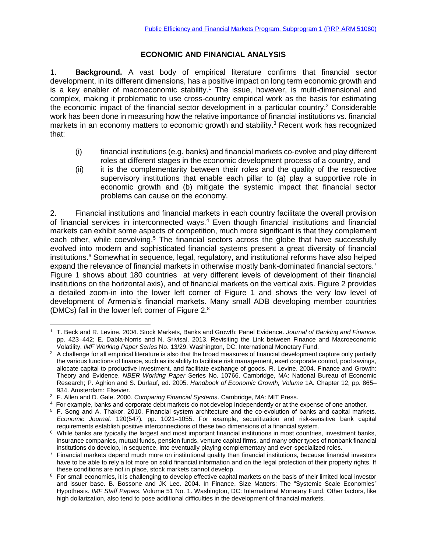### **ECONOMIC AND FINANCIAL ANALYSIS**

1. **Background.** A vast body of empirical literature confirms that financial sector development, in its different dimensions, has a positive impact on long term economic growth and is a key enabler of macroeconomic stability.<sup>1</sup> The issue, however, is multi-dimensional and complex, making it problematic to use cross-country empirical work as the basis for estimating the economic impact of the financial sector development in a particular country.<sup>2</sup> Considerable work has been done in measuring how the relative importance of financial institutions vs. financial markets in an economy matters to economic growth and stability.<sup>3</sup> Recent work has recognized that:

- (i) financial institutions (e.g. banks) and financial markets co-evolve and play different roles at different stages in the economic development process of a country, and
- (ii) it is the complementarity between their roles and the quality of the respective supervisory institutions that enable each pillar to (a) play a supportive role in economic growth and (b) mitigate the systemic impact that financial sector problems can cause on the economy.

2. Financial institutions and financial markets in each country facilitate the overall provision of financial services in interconnected ways.<sup>4</sup> Even though financial institutions and financial markets can exhibit some aspects of competition, much more significant is that they complement each other, while coevolving.<sup>5</sup> The financial sectors across the globe that have successfully evolved into modern and sophisticated financial systems present a great diversity of financial institutions.<sup>6</sup> Somewhat in sequence, legal, regulatory, and institutional reforms have also helped expand the relevance of financial markets in otherwise mostly bank-dominated financial sectors.<sup>7</sup> Figure 1 shows about 180 countries at very different levels of development of their financial institutions on the horizontal axis), and of financial markets on the vertical axis. Figure 2 provides a detailed zoom-in into the lower left corner of Figure 1 and shows the very low level of development of Armenia's financial markets. Many small ADB developing member countries (DMCs) fall in the lower left corner of Figure 2.<sup>8</sup>

 $\overline{\phantom{a}}$ <sup>1</sup> T. Beck and R. Levine. 2004. Stock Markets, Banks and Growth: Panel Evidence. *Journal of Banking and Finance*. pp. 423–442; E. Dabla-Norris and N. Srivisal. 2013. Revisiting the Link between Finance and Macroeconomic Volatility. *IMF Working Paper Series* No. 13/29. Washington, DC: International Monetary Fund.

<sup>&</sup>lt;sup>2</sup> A challenge for all empirical literature is also that the broad measures of financial development capture only partially the various functions of finance, such as its ability to facilitate risk management, exert corporate control, pool savings, allocate capital to productive investment, and facilitate exchange of goods. R. Levine. 2004. Finance and Growth: Theory and Evidence. *NBER Working Paper* Series No. 10766. Cambridge, MA: National Bureau of Economic Research; P. Aghion and S. Durlauf, ed. 2005. *Handbook of Economic Growth, Volume* 1A. Chapter 12, pp. 865– 934. Amsterdam: Elsevier.

<sup>3</sup> F. Allen and D. Gale. 2000. *Comparing Financial Systems*. Cambridge, MA: MIT Press.

<sup>4</sup> For example, banks and corporate debt markets do not develop independently or at the expense of one another.

<sup>5</sup> F. Song and A. Thakor. 2010. Financial system architecture and the co-evolution of banks and capital markets. *Economic Journal.* 120(547)*.* pp. 1021–1055. For example, securitization and risk-sensitive bank capital requirements establish positive interconnections of these two dimensions of a financial system.

<sup>&</sup>lt;sup>6</sup> While banks are typically the largest and most important financial institutions in most countries, investment banks, insurance companies, mutual funds, pension funds, venture capital firms, and many other types of nonbank financial institutions do develop, in sequence, into eventually playing complementary and ever-specialized roles.

 $7$  Financial markets depend much more on institutional quality than financial institutions, because financial investors have to be able to rely a lot more on solid financial information and on the legal protection of their property rights. If these conditions are not in place, stock markets cannot develop.

<sup>&</sup>lt;sup>8</sup> For small economies, it is challenging to develop effective capital markets on the basis of their limited local investor and issuer base. B. Bossone and JK Lee. 2004. In Finance, Size Matters: The "Systemic Scale Economies" Hypothesis. *IMF Staff Papers.* Volume 51 No. 1. Washington, DC: International Monetary Fund. Other factors, like high dollarization, also tend to pose additional difficulties in the development of financial markets.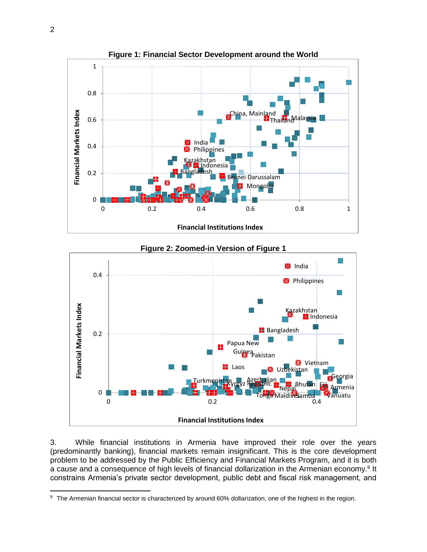



### 3. While financial institutions in Armenia have improved their role over the years (predominantly banking), financial markets remain insignificant. This is the core development problem to be addressed by the Public Efficiency and Financial Markets Program, and it is both a cause and a consequence of high levels of financial dollarization in the Armenian economy.<sup>9</sup> It constrains Armenia's private sector development, public debt and fiscal risk management, and

 $\overline{\phantom{a}}$ 

<sup>9</sup> The Armenian financial sector is characterized by around 60% dollarization, one of the highest in the region.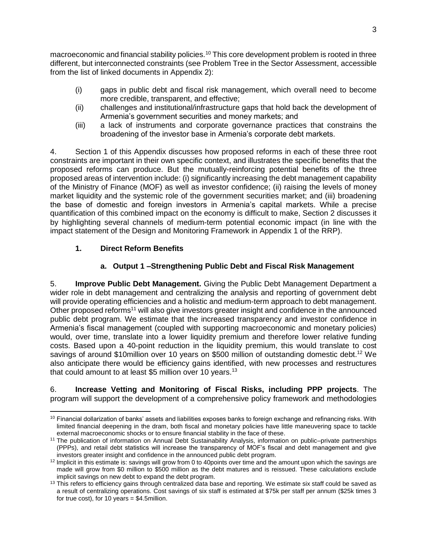macroeconomic and financial stability policies.<sup>10</sup> This core development problem is rooted in three different, but interconnected constraints (see Problem Tree in the Sector Assessment, accessible from the list of linked documents in Appendix 2):

- (i) gaps in public debt and fiscal risk management, which overall need to become more credible, transparent, and effective;
- (ii) challenges and institutional/infrastructure gaps that hold back the development of Armenia's government securities and money markets; and
- (iii) a lack of instruments and corporate governance practices that constrains the broadening of the investor base in Armenia's corporate debt markets.

4. Section 1 of this Appendix discusses how proposed reforms in each of these three root constraints are important in their own specific context, and illustrates the specific benefits that the proposed reforms can produce. But the mutually-reinforcing potential benefits of the three proposed areas of intervention include: (i) significantly increasing the debt management capability of the Ministry of Finance (MOF) as well as investor confidence; (ii) raising the levels of money market liquidity and the systemic role of the government securities market; and (iii) broadening the base of domestic and foreign investors in Armenia's capital markets. While a precise quantification of this combined impact on the economy is difficult to make, Section 2 discusses it by highlighting several channels of medium-term potential economic impact (in line with the impact statement of the Design and Monitoring Framework in Appendix 1 of the RRP).

# **1. Direct Reform Benefits**

# **a. Output 1 –Strengthening Public Debt and Fiscal Risk Management**

5. **Improve Public Debt Management.** Giving the Public Debt Management Department a wider role in debt management and centralizing the analysis and reporting of government debt will provide operating efficiencies and a holistic and medium-term approach to debt management. Other proposed reforms<sup>11</sup> will also give investors greater insight and confidence in the announced public debt program. We estimate that the increased transparency and investor confidence in Armenia's fiscal management (coupled with supporting macroeconomic and monetary policies) would, over time, translate into a lower liquidity premium and therefore lower relative funding costs. Based upon a 40-point reduction in the liquidity premium, this would translate to cost savings of around \$10million over 10 years on \$500 million of outstanding domestic debt.<sup>12</sup> We also anticipate there would be efficiency gains identified, with new processes and restructures that could amount to at least \$5 million over 10 years.<sup>13</sup>

6. **Increase Vetting and Monitoring of Fiscal Risks, including PPP projects**. The program will support the development of a comprehensive policy framework and methodologies

 $\overline{a}$  $10$  Financial dollarization of banks' assets and liabilities exposes banks to foreign exchange and refinancing risks. With limited financial deepening in the dram, both fiscal and monetary policies have little maneuvering space to tackle external macroeconomic shocks or to ensure financial stability in the face of these.

<sup>11</sup> The publication of information on Annual Debt Sustainability Analysis, information on public–private partnerships (PPPs), and retail debt statistics will increase the transparency of MOF's fiscal and debt management and give investors greater insight and confidence in the announced public debt program.

<sup>&</sup>lt;sup>12</sup> Implicit in this estimate is: savings will grow from 0 to 40points over time and the amount upon which the savings are made will grow from \$0 million to \$500 million as the debt matures and is reissued. These calculations exclude implicit savings on new debt to expand the debt program.

 $13$  This refers to efficiency gains through centralized data base and reporting. We estimate six staff could be saved as a result of centralizing operations. Cost savings of six staff is estimated at \$75k per staff per annum (\$25k times 3 for true cost), for 10 years  $= $4.5$ million.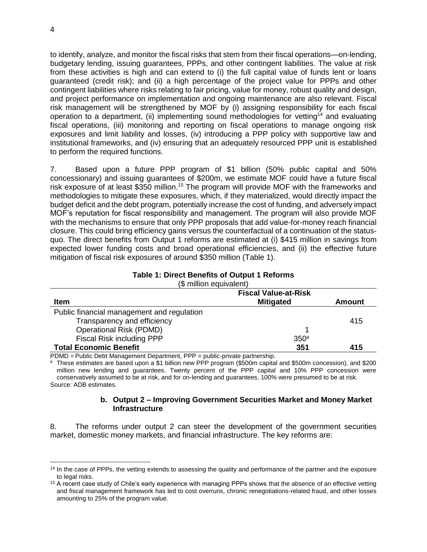to identify, analyze, and monitor the fiscal risks that stem from their fiscal operations—on-lending, budgetary lending, issuing guarantees, PPPs, and other contingent liabilities. The value at risk from these activities is high and can extend to (i) the full capital value of funds lent or loans guaranteed (credit risk); and (ii) a high percentage of the project value for PPPs and other contingent liabilities where risks relating to fair pricing, value for money, robust quality and design, and project performance on implementation and ongoing maintenance are also relevant. Fiscal risk management will be strengthened by MOF by (i) assigning responsibility for each fiscal operation to a department, (ii) implementing sound methodologies for vetting<sup>14</sup> and evaluating fiscal operations, (iii) monitoring and reporting on fiscal operations to manage ongoing risk exposures and limit liability and losses, (iv) introducing a PPP policy with supportive law and institutional frameworks, and (iv) ensuring that an adequately resourced PPP unit is established to perform the required functions.

7. Based upon a future PPP program of \$1 billion (50% public capital and 50% concessionary) and issuing guarantees of \$200m, we estimate MOF could have a future fiscal risk exposure of at least \$350 million.<sup>15</sup> The program will provide MOF with the frameworks and methodologies to mitigate these exposures, which, if they materialized, would directly impact the budget deficit and the debt program, potentially increase the cost of funding, and adversely impact MOF's reputation for fiscal responsibility and management. The program will also provide MOF with the mechanisms to ensure that only PPP proposals that add value-for-money reach financial closure. This could bring efficiency gains versus the counterfactual of a continuation of the statusquo. The direct benefits from Output 1 reforms are estimated at (i) \$415 million in savings from expected lower funding costs and broad operational efficiencies, and (ii) the effective future mitigation of fiscal risk exposures of around \$350 million (Table 1).

# **Table 1: Direct Benefits of Output 1 Reforms**

|  | (\$ million equivalent) |  |
|--|-------------------------|--|
|  |                         |  |

|                                            | <b>Fiscal Value-at-Risk</b> |               |
|--------------------------------------------|-----------------------------|---------------|
| <b>Item</b>                                | <b>Mitigated</b>            | <b>Amount</b> |
| Public financial management and regulation |                             |               |
| Transparency and efficiency                |                             | 415           |
| <b>Operational Risk (PDMD)</b>             |                             |               |
| <b>Fiscal Risk including PPP</b>           | 350 <sup>a</sup>            |               |
| <b>Total Economic Benefit</b>              | 351                         | 415           |

PDMD = Public Debt Management Department, PPP = public-private partnership.

a These estimates are based upon a \$1 billion new PPP program (\$500m capital and \$500m concession), and \$200 million new lending and guarantees. Twenty percent of the PPP capital and 10% PPP concession were conservatively assumed to be at risk, and for on-lending and guarantees, 100% were presumed to be at risk. Source: ADB estimates.

### **b. Output 2 – Improving Government Securities Market and Money Market Infrastructure**

8. The reforms under output 2 can steer the development of the government securities market, domestic money markets, and financial infrastructure. The key reforms are:

l <sup>14</sup> In the case of PPPs, the vetting extends to assessing the quality and performance of the partner and the exposure to legal risks.

<sup>&</sup>lt;sup>15</sup> A recent case study of Chile's early experience with managing PPPs shows that the absence of an effective vetting and fiscal management framework has led to cost overruns, chronic renegotiations-related fraud, and other losses amounting to 25% of the program value.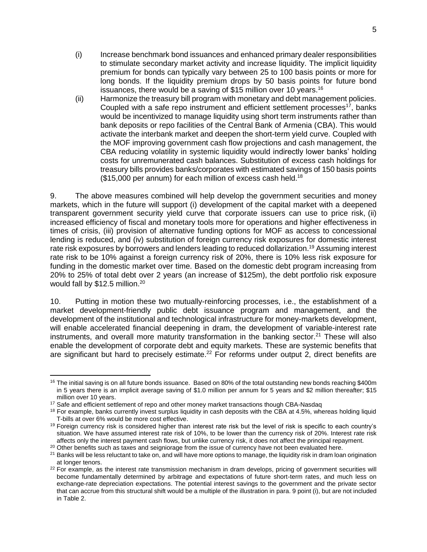- (i) Increase benchmark bond issuances and enhanced primary dealer responsibilities to stimulate secondary market activity and increase liquidity. The implicit liquidity premium for bonds can typically vary between 25 to 100 basis points or more for long bonds. If the liquidity premium drops by 50 basis points for future bond issuances, there would be a saving of \$15 million over 10 years.<sup>16</sup>
- (ii) Harmonize the treasury bill program with monetary and debt management policies. Coupled with a safe repo instrument and efficient settlement processes $17$ , banks would be incentivized to manage liquidity using short term instruments rather than bank deposits or repo facilities of the Central Bank of Armenia (CBA). This would activate the interbank market and deepen the short-term yield curve. Coupled with the MOF improving government cash flow projections and cash management, the CBA reducing volatility in systemic liquidity would indirectly lower banks' holding costs for unremunerated cash balances. Substitution of excess cash holdings for treasury bills provides banks/corporates with estimated savings of 150 basis points  $($15,000$  per annum) for each million of excess cash held.<sup>18</sup>

9. The above measures combined will help develop the government securities and money markets, which in the future will support (i) development of the capital market with a deepened transparent government security yield curve that corporate issuers can use to price risk, (ii) increased efficiency of fiscal and monetary tools more for operations and higher effectiveness in times of crisis, (iii) provision of alternative funding options for MOF as access to concessional lending is reduced, and (iv) substitution of foreign currency risk exposures for domestic interest rate risk exposures by borrowers and lenders leading to reduced dollarization.<sup>19</sup> Assuming interest rate risk to be 10% against a foreign currency risk of 20%, there is 10% less risk exposure for funding in the domestic market over time. Based on the domestic debt program increasing from 20% to 25% of total debt over 2 years (an increase of \$125m), the debt portfolio risk exposure would fall by \$12.5 million.<sup>20</sup>

10. Putting in motion these two mutually-reinforcing processes, i.e., the establishment of a market development-friendly public debt issuance program and management, and the development of the institutional and technological infrastructure for money-markets development, will enable accelerated financial deepening in dram, the development of variable-interest rate instruments, and overall more maturity transformation in the banking sector.<sup>21</sup> These will also enable the development of corporate debt and equity markets. These are systemic benefits that are significant but hard to precisely estimate.<sup>22</sup> For reforms under output 2, direct benefits are

 $\overline{a}$  $16$  The initial saving is on all future bonds issuance. Based on 80% of the total outstanding new bonds reaching \$400m in 5 years there is an implicit average saving of \$1.0 million per annum for 5 years and \$2 million thereafter; \$15 million over 10 years.

<sup>&</sup>lt;sup>17</sup> Safe and efficient settlement of repo and other money market transactions though CBA-Nasdaq

 $18$  For example, banks currently invest surplus liquidity in cash deposits with the CBA at 4.5%, whereas holding liquid T-bills at over 6% would be more cost effective.

<sup>&</sup>lt;sup>19</sup> Foreign currency risk is considered higher than interest rate risk but the level of risk is specific to each country's situation. We have assumed interest rate risk of 10%, to be lower than the currency risk of 20%. Interest rate risk affects only the interest payment cash flows, but unlike currency risk, it does not affect the principal repayment.

<sup>&</sup>lt;sup>20</sup> Other benefits such as taxes and seigniorage from the issue of currency have not been evaluated here.

 $21$  Banks will be less reluctant to take on, and will have more options to manage, the liquidity risk in dram loan origination at longer tenors.

<sup>&</sup>lt;sup>22</sup> For example, as the interest rate transmission mechanism in dram develops, pricing of government securities will become fundamentally determined by arbitrage and expectations of future short-term rates, and much less on exchange-rate depreciation expectations. The potential interest savings to the government and the private sector that can accrue from this structural shift would be a multiple of the illustration in para. 9 point (i), but are not included in Table 2.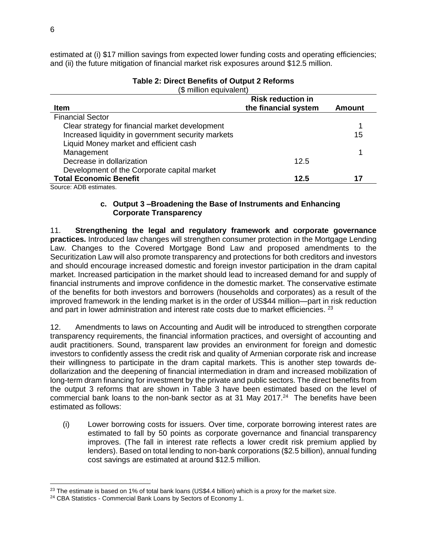estimated at (i) \$17 million savings from expected lower funding costs and operating efficiencies; and (ii) the future mitigation of financial market risk exposures around \$12.5 million.

#### (\$ million equivalent) **Item Risk reduction in the financial system Amount** Financial Sector Clear strategy for financial market development Increased liquidity in government security markets 1 15 Liquid Money market and efficient cash Management 1 and 1 and 1 and 1 and 1 and 1 and 1 and 1 and 1 and 1 and 1 and 1 and 1 and 1 and 1 and 1 and 1 and 1 and 1 and 1 and 1 and 1 and 1 and 1 and 1 and 1 and 1 and 1 and 1 and 1 and 1 and 1 and 1 and 1 and 1 and 1 Decrease in dollarization Development of the Corporate capital market 12.5 **Total Economic Benefit 12.5 17**

### **Table 2: Direct Benefits of Output 2 Reforms**

Source: ADB estimates.

### **c. Output 3 –Broadening the Base of Instruments and Enhancing Corporate Transparency**

11. **Strengthening the legal and regulatory framework and corporate governance practices.** Introduced law changes will strengthen consumer protection in the Mortgage Lending Law. Changes to the Covered Mortgage Bond Law and proposed amendments to the Securitization Law will also promote transparency and protections for both creditors and investors and should encourage increased domestic and foreign investor participation in the dram capital market. Increased participation in the market should lead to increased demand for and supply of financial instruments and improve confidence in the domestic market. The conservative estimate of the benefits for both investors and borrowers (households and corporates) as a result of the improved framework in the lending market is in the order of US\$44 million—part in risk reduction and part in lower administration and interest rate costs due to market efficiencies. <sup>23</sup>

12. Amendments to laws on Accounting and Audit will be introduced to strengthen corporate transparency requirements, the financial information practices, and oversight of accounting and audit practitioners. Sound, transparent law provides an environment for foreign and domestic investors to confidently assess the credit risk and quality of Armenian corporate risk and increase their willingness to participate in the dram capital markets. This is another step towards dedollarization and the deepening of financial intermediation in dram and increased mobilization of long-term dram financing for investment by the private and public sectors. The direct benefits from the output 3 reforms that are shown in Table 3 have been estimated based on the level of commercial bank loans to the non-bank sector as at 31 May 2017. $^{24}$  The benefits have been estimated as follows:

(i) Lower borrowing costs for issuers. Over time, corporate borrowing interest rates are estimated to fall by 50 points as corporate governance and financial transparency improves. (The fall in interest rate reflects a lower credit risk premium applied by lenders). Based on total lending to non-bank corporations (\$2.5 billion), annual funding cost savings are estimated at around \$12.5 million.

 $\overline{a}$ 

 $23$  The estimate is based on 1% of total bank loans (US\$4.4 billion) which is a proxy for the market size.

<sup>&</sup>lt;sup>24</sup> CBA Statistics - Commercial Bank Loans by Sectors of Economy 1.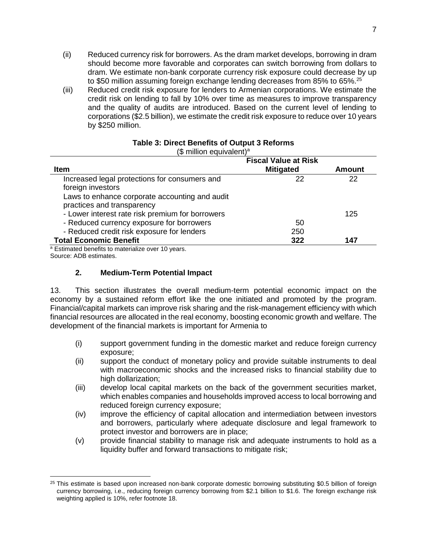- (ii) Reduced currency risk for borrowers. As the dram market develops, borrowing in dram should become more favorable and corporates can switch borrowing from dollars to dram. We estimate non-bank corporate currency risk exposure could decrease by up to \$50 million assuming foreign exchange lending decreases from 85% to 65%. $^{25}$
- (iii) Reduced credit risk exposure for lenders to Armenian corporations. We estimate the credit risk on lending to fall by 10% over time as measures to improve transparency and the quality of audits are introduced. Based on the current level of lending to corporations (\$2.5 billion), we estimate the credit risk exposure to reduce over 10 years by \$250 million.

|                                                               | <b>Fiscal Value at Risk</b> |               |
|---------------------------------------------------------------|-----------------------------|---------------|
| <b>Item</b>                                                   | <b>Mitigated</b>            | <b>Amount</b> |
| Increased legal protections for consumers and                 | 22                          | 22            |
| foreign investors                                             |                             |               |
| Laws to enhance corporate accounting and audit                |                             |               |
| practices and transparency                                    |                             |               |
| - Lower interest rate risk premium for borrowers              |                             | 125           |
| - Reduced currency exposure for borrowers                     | 50                          |               |
| - Reduced credit risk exposure for lenders                    | 250                         |               |
| <b>Total Economic Benefit</b>                                 | 322                         | 147           |
| <sup>a</sup> Estimated benefits to materialize over 10 years. |                             |               |

### **Table 3: Direct Benefits of Output 3 Reforms** (\$ million equivalent)<sup>a</sup>

<sup>a</sup> Estimated benefits to materialize over 10 years. Source: ADB estimates.

l

### **2. Medium-Term Potential Impact**

13. This section illustrates the overall medium-term potential economic impact on the economy by a sustained reform effort like the one initiated and promoted by the program. Financial/capital markets can improve risk sharing and the risk-management efficiency with which financial resources are allocated in the real economy, boosting economic growth and welfare. The development of the financial markets is important for Armenia to

- (i) support government funding in the domestic market and reduce foreign currency exposure;
- (ii) support the conduct of monetary policy and provide suitable instruments to deal with macroeconomic shocks and the increased risks to financial stability due to high dollarization;
- (iii) develop local capital markets on the back of the government securities market, which enables companies and households improved access to local borrowing and reduced foreign currency exposure;
- (iv) improve the efficiency of capital allocation and intermediation between investors and borrowers, particularly where adequate disclosure and legal framework to protect investor and borrowers are in place;
- (v) provide financial stability to manage risk and adequate instruments to hold as a liquidity buffer and forward transactions to mitigate risk;

 $25$  This estimate is based upon increased non-bank corporate domestic borrowing substituting \$0.5 billion of foreign currency borrowing, i.e., reducing foreign currency borrowing from \$2.1 billion to \$1.6. The foreign exchange risk weighting applied is 10%, refer footnote 18.